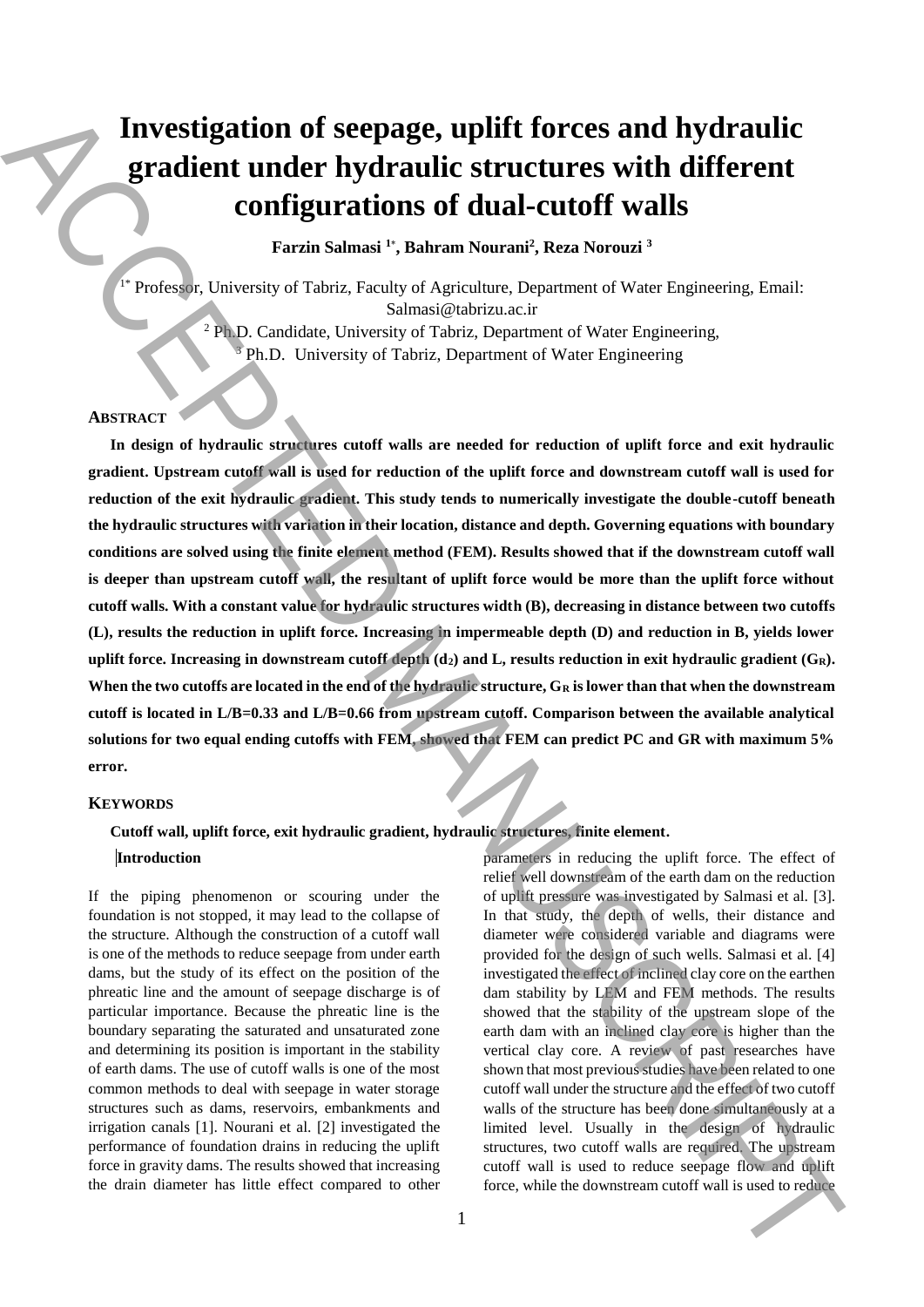# **Investigation of seepage, uplift forces and hydraulic gradient under hydraulic structures with different configurations of dual-cutoff walls**

**Farzin Salmasi <sup>1</sup>**\* **, Bahram Nourani<sup>2</sup> , Reza Norouzi <sup>3</sup>**

1\* Professor, University of Tabriz, Faculty of Agriculture, Department of Water Engineering, Email: Salmasi@tabrizu.ac.ir <sup>2</sup> Ph.D. Candidate, University of Tabriz, Department of Water Engineering, Ph.D. University of Tabriz, Department of Water Engineering

# **ABSTRACT**

**In design of hydraulic structures cutoff walls are needed for reduction of uplift force and exit hydraulic gradient. Upstream cutoff wall is used for reduction of the uplift force and downstream cutoff wall is used for reduction of the exit hydraulic gradient. This study tends to numerically investigate the double-cutoff beneath the hydraulic structures with variation in their location, distance and depth. Governing equations with boundary conditions are solved using the finite element method (FEM). Results showed that if the downstream cutoff wall**  is deeper than upstream cutoff wall, the resultant of uplift force would be more than the uplift force without **cutoff walls. With a constant value for hydraulic structures width (B), decreasing in distance between two cutoffs (L), results the reduction in uplift force. Increasing in impermeable depth (D) and reduction in B, yields lower uplift force. Increasing in downstream cutoff depth (d2) and L, results reduction in exit hydraulic gradient (GR). When the two cutoffs are located in the end of the hydraulic structure, G<sup>R</sup> is lower than that when the downstream cutoff is located in L/B=0.33 and L/B=0.66 from upstream cutoff. Comparison between the available analytical solutions for two equal ending cutoffs with FEM, showed that FEM can predict PC and GR with maximum 5% error. EXECUTE: CONFIGURER CONFIGURER CONFIGURER CONFIGURER CONFIGURER CONFIGURER CONFIGURER CONFIGURER CONFIGURER CONFIGURER CONFIGURER CONFIGURER CONFIGURER CONFIGURER CONFIGURER CONFIGURER CONFIGURER CONFIGURER CONFIGURE** 

#### **KEYWORDS**

# **Cutoff wall, uplift force, exit hydraulic gradient, hydraulic structures, finite element.**

#### **Introduction**

If the piping phenomenon or scouring under the foundation is not stopped, it may lead to the collapse of the structure. Although the construction of a cutoff wall is one of the methods to reduce seepage from under earth dams, but the study of its effect on the position of the phreatic line and the amount of seepage discharge is of particular importance. Because the phreatic line is the boundary separating the saturated and unsaturated zone and determining its position is important in the stability of earth dams. The use of cutoff walls is one of the most common methods to deal with seepage in water storage structures such as dams, reservoirs, embankments and irrigation canals [1]. Nourani et al. [2] investigated the performance of foundation drains in reducing the uplift force in gravity dams. The results showed that increasing the drain diameter has little effect compared to other parameters in reducing the uplift force. The effect of relief well downstream of the earth dam on the reduction of uplift pressure was investigated by Salmasi et al. [3]. In that study, the depth of wells, their distance and diameter were considered variable and diagrams were provided for the design of such wells. Salmasi et al. [4] investigated the effect of inclined clay core on the earthen dam stability by LEM and FEM methods. The results showed that the stability of the upstream slope of the earth dam with an inclined clay core is higher than the vertical clay core. A review of past researches have shown that most previous studies have been related to one cutoff wall under the structure and the effect of two cutoff walls of the structure has been done simultaneously at a limited level. Usually in the design of hydraulic structures, two cutoff walls are required. The upstream cutoff wall is used to reduce seepage flow and uplift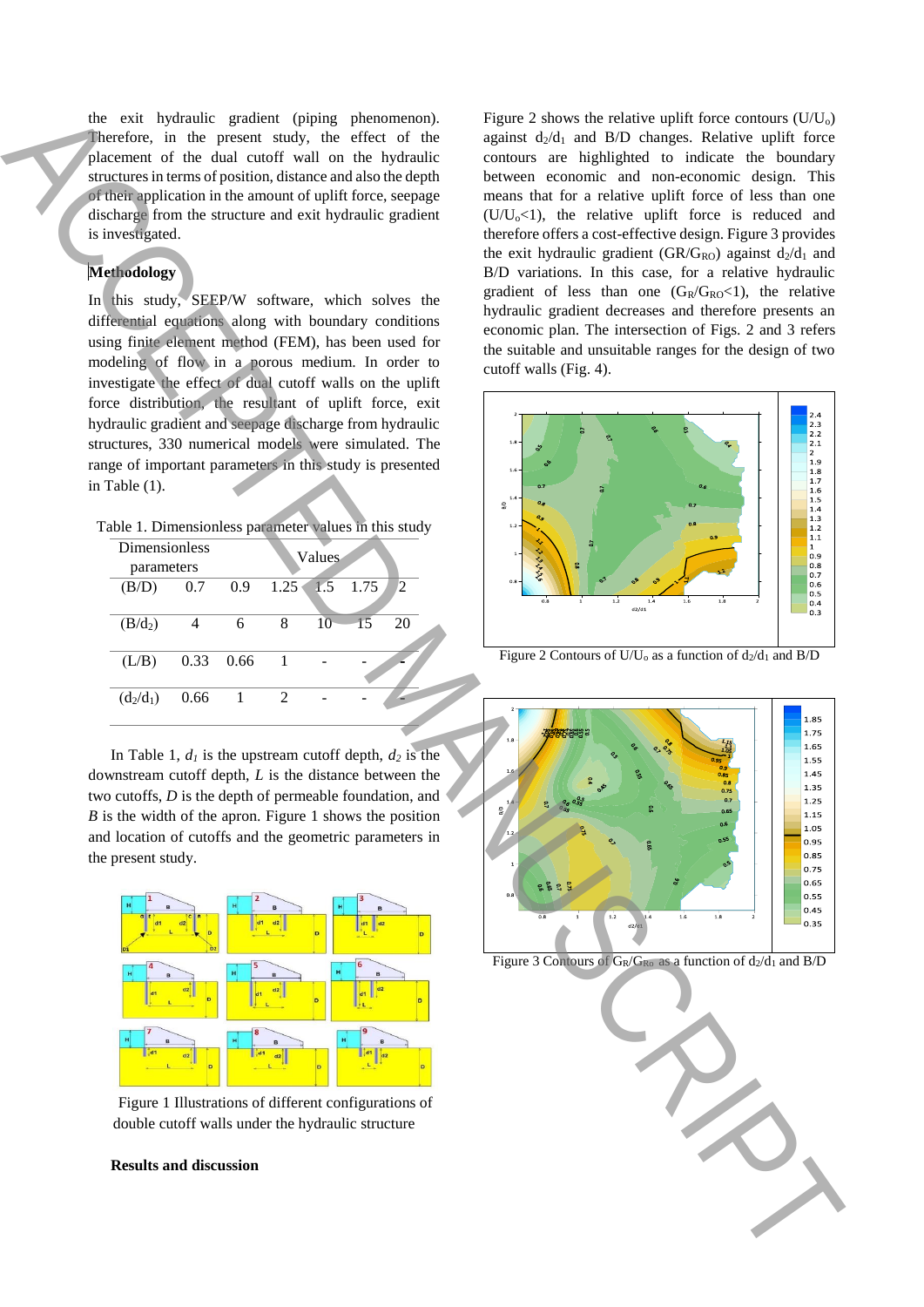the exit hydraulic gradient (piping phenomenon). Therefore, in the present study, the effect of the placement of the dual cutoff wall on the hydraulic structures in terms of position, distance and also the depth of their application in the amount of uplift force, seepage discharge from the structure and exit hydraulic gradient is investigated.

# **Methodology**

In this study, SEEP/W software, which solves the differential equations along with boundary conditions using finite element method (FEM), has been used for modeling of flow in a porous medium. In order to investigate the effect of dual cutoff walls on the uplift force distribution, the resultant of uplift force, exit hydraulic gradient and seepage discharge from hydraulic structures, 330 numerical models were simulated. The range of important parameters in this study is presented in Table (1).

Table 1. Dimensionless parameter values in this study

| Dimensionless<br>parameters |      |                  | <b>Values</b> |    |            |                |
|-----------------------------|------|------------------|---------------|----|------------|----------------|
| (B/D)                       | 0.7  | 0.9 <sup>°</sup> | 1.25          |    | $1.5$ 1.75 | $\overline{2}$ |
| $(B/d_2)$                   |      | 6                | 8             | 10 | 15         | 20             |
| (L/B)                       | 0.33 | 0.66             |               |    |            |                |
| $(d_2/d_1)$                 | 0.66 |                  |               |    |            |                |

In Table 1,  $d_1$  is the upstream cutoff depth,  $d_2$  is the downstream cutoff depth, *L* is the distance between the two cutoffs, *D* is the depth of permeable foundation, and *B* is the width of the apron. Figure 1 shows the position and location of cutoffs and the geometric parameters in the present study.



Figure 1 Illustrations of different configurations of double cutoff walls under the hydraulic structure

# **Results and discussion**

Figure 2 shows the relative uplift force contours  $(U/U_0)$ against  $d_2/d_1$  and  $B/D$  changes. Relative uplift force contours are highlighted to indicate the boundary between economic and non-economic design. This means that for a relative uplift force of less than one  $(U/U_0<1)$ , the relative uplift force is reduced and therefore offers a cost-effective design. Figure 3 provides the exit hydraulic gradient (GR/G<sub>RO</sub>) against  $d_2/d_1$  and B/D variations. In this case, for a relative hydraulic gradient of less than one  $(G_R/G_{RO} < 1)$ , the relative hydraulic gradient decreases and therefore presents an economic plan. The intersection of Figs. 2 and 3 refers the suitable and unsuitable ranges for the design of two cutoff walls (Fig. 4). Figure 3 Contours are contours of d2/d2 and and B/GR/GRO as a function of d2/d2 and B/D Access Contours of GR/GRO and B/GR/GRO as a function of d2/d2 and B/D ACCEPTED MANUSCRIPT ( $\alpha$ ) and B/D ACCEPTED MANUSCRIPT ( $\alpha$ ) a



Figure 2 Contours of U/U<sub>0</sub> as a function of  $d_2/d_1$  and B/D